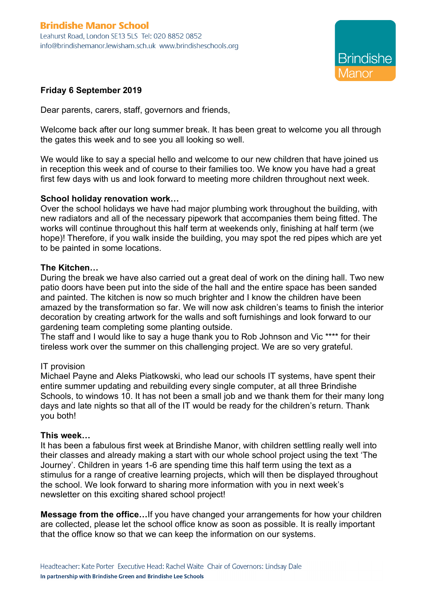

# **Friday 6 September 2019**

Dear parents, carers, staff, governors and friends,

Welcome back after our long summer break. It has been great to welcome you all through the gates this week and to see you all looking so well.

We would like to say a special hello and welcome to our new children that have joined us in reception this week and of course to their families too. We know you have had a great first few days with us and look forward to meeting more children throughout next week.

#### **School holiday renovation work…**

Over the school holidays we have had major plumbing work throughout the building, with new radiators and all of the necessary pipework that accompanies them being fitted. The works will continue throughout this half term at weekends only, finishing at half term (we hope)! Therefore, if you walk inside the building, you may spot the red pipes which are yet to be painted in some locations.

#### **The Kitchen…**

During the break we have also carried out a great deal of work on the dining hall. Two new patio doors have been put into the side of the hall and the entire space has been sanded and painted. The kitchen is now so much brighter and I know the children have been amazed by the transformation so far. We will now ask children's teams to finish the interior decoration by creating artwork for the walls and soft furnishings and look forward to our gardening team completing some planting outside.

The staff and I would like to say a huge thank you to Rob Johnson and Vic \*\*\*\* for their tireless work over the summer on this challenging project. We are so very grateful.

#### IT provision

Michael Payne and Aleks Piatkowski, who lead our schools IT systems, have spent their entire summer updating and rebuilding every single computer, at all three Brindishe Schools, to windows 10. It has not been a small job and we thank them for their many long days and late nights so that all of the IT would be ready for the children's return. Thank you both!

#### **This week…**

It has been a fabulous first week at Brindishe Manor, with children settling really well into their classes and already making a start with our whole school project using the text 'The Journey'. Children in years 1-6 are spending time this half term using the text as a stimulus for a range of creative learning projects, which will then be displayed throughout the school. We look forward to sharing more information with you in next week's newsletter on this exciting shared school project!

**Message from the office…**If you have changed your arrangements for how your children are collected, please let the school office know as soon as possible. It is really important that the office know so that we can keep the information on our systems.